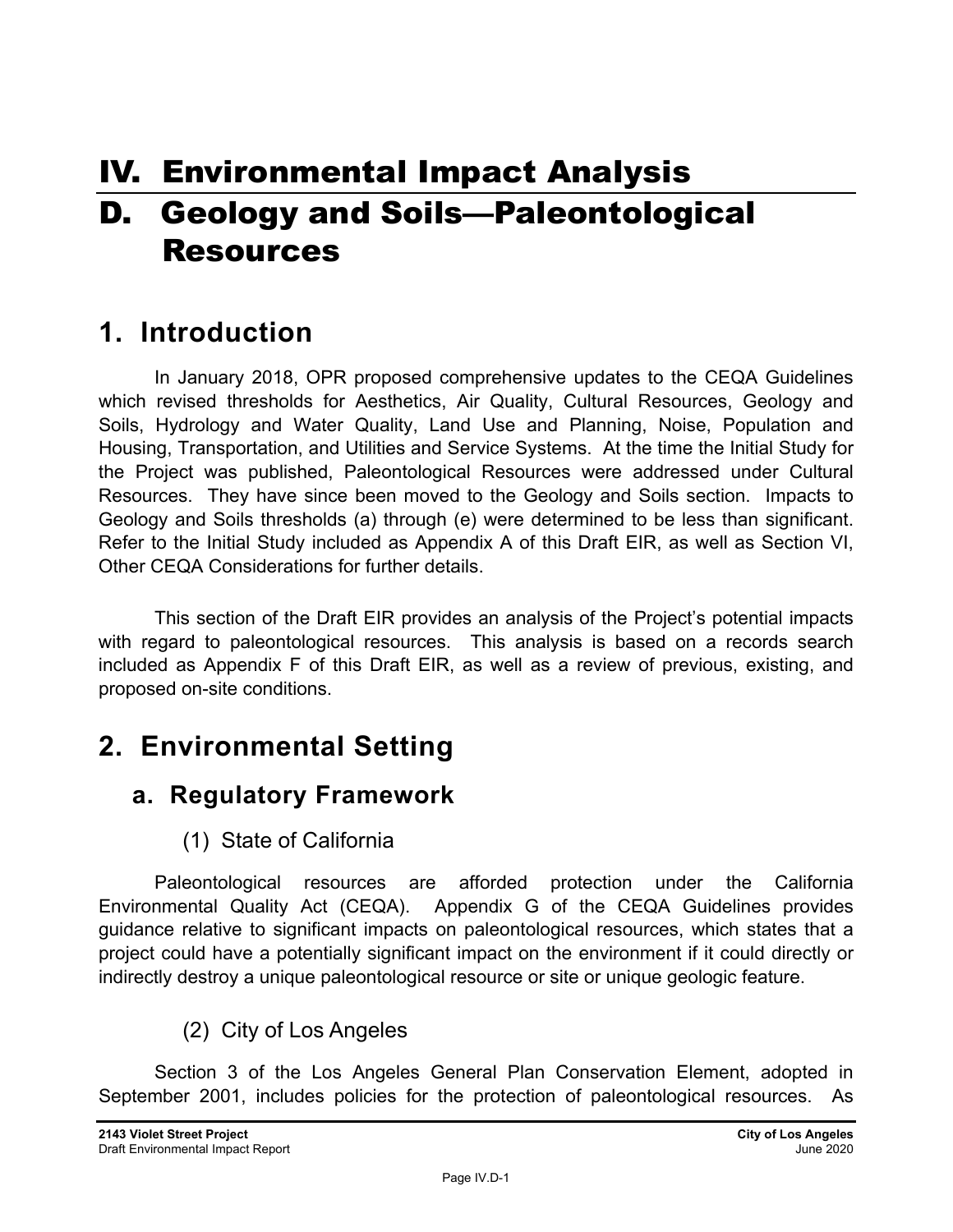# IV. Environmental Impact Analysis D. Geology and Soils—Paleontological Resources

## **1. Introduction**

In January 2018, OPR proposed comprehensive updates to the CEQA Guidelines which revised thresholds for Aesthetics, Air Quality, Cultural Resources, Geology and Soils, Hydrology and Water Quality, Land Use and Planning, Noise, Population and Housing, Transportation, and Utilities and Service Systems. At the time the Initial Study for the Project was published, Paleontological Resources were addressed under Cultural Resources. They have since been moved to the Geology and Soils section. Impacts to Geology and Soils thresholds (a) through (e) were determined to be less than significant. Refer to the Initial Study included as Appendix A of this Draft EIR, as well as Section VI, Other CEQA Considerations for further details.

This section of the Draft EIR provides an analysis of the Project's potential impacts with regard to paleontological resources. This analysis is based on a records search included as Appendix F of this Draft EIR, as well as a review of previous, existing, and proposed on-site conditions.

## **2. Environmental Setting**

### **a. Regulatory Framework**

#### (1) State of California

Paleontological resources are afforded protection under the California Environmental Quality Act (CEQA). Appendix G of the CEQA Guidelines provides guidance relative to significant impacts on paleontological resources, which states that a project could have a potentially significant impact on the environment if it could directly or indirectly destroy a unique paleontological resource or site or unique geologic feature.

### (2) City of Los Angeles

Section 3 of the Los Angeles General Plan Conservation Element, adopted in September 2001, includes policies for the protection of paleontological resources. As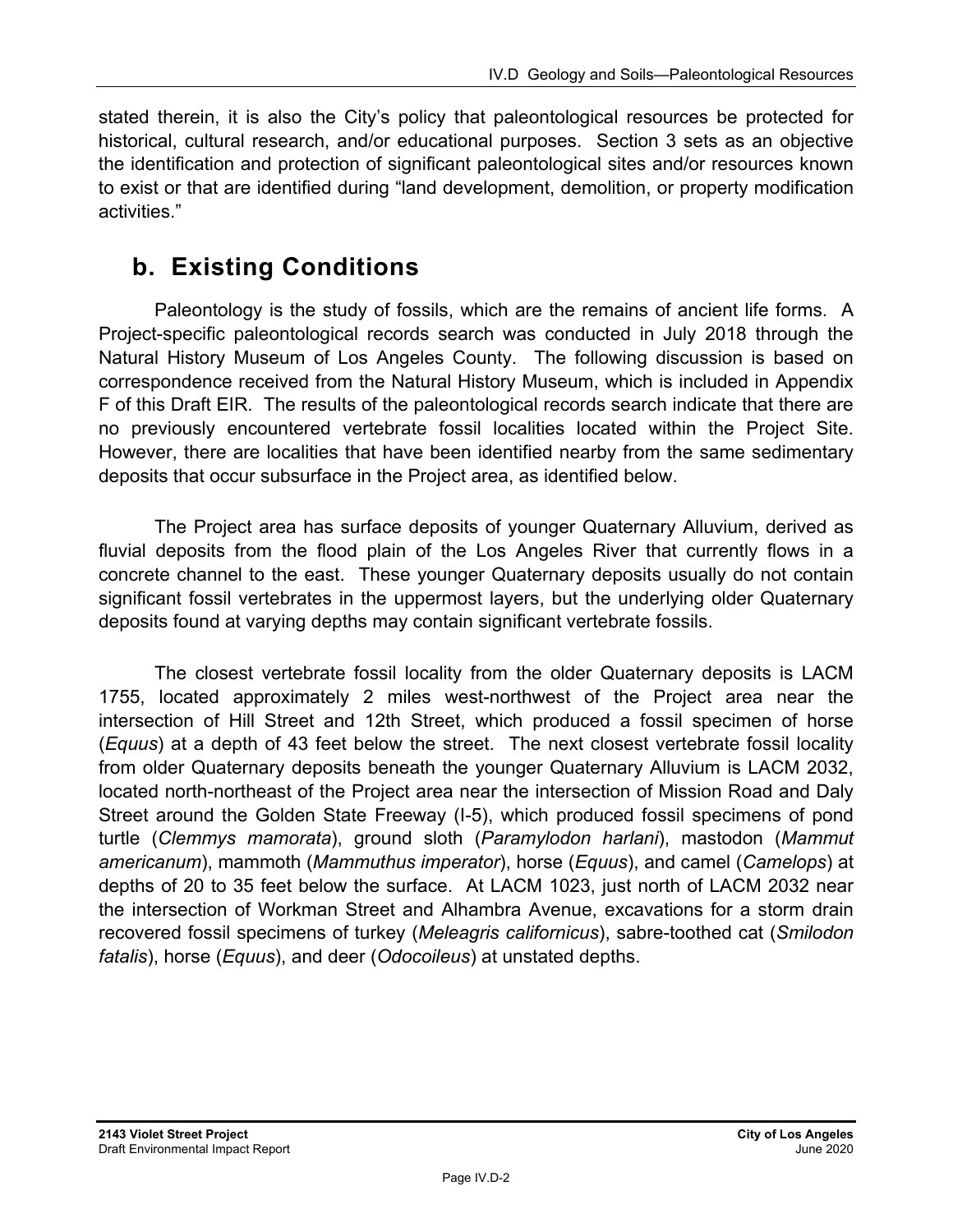stated therein, it is also the City's policy that paleontological resources be protected for historical, cultural research, and/or educational purposes. Section 3 sets as an objective the identification and protection of significant paleontological sites and/or resources known to exist or that are identified during "land development, demolition, or property modification activities."

### **b. Existing Conditions**

Paleontology is the study of fossils, which are the remains of ancient life forms. A Project-specific paleontological records search was conducted in July 2018 through the Natural History Museum of Los Angeles County. The following discussion is based on correspondence received from the Natural History Museum, which is included in Appendix F of this Draft EIR. The results of the paleontological records search indicate that there are no previously encountered vertebrate fossil localities located within the Project Site. However, there are localities that have been identified nearby from the same sedimentary deposits that occur subsurface in the Project area, as identified below.

The Project area has surface deposits of younger Quaternary Alluvium, derived as fluvial deposits from the flood plain of the Los Angeles River that currently flows in a concrete channel to the east. These younger Quaternary deposits usually do not contain significant fossil vertebrates in the uppermost layers, but the underlying older Quaternary deposits found at varying depths may contain significant vertebrate fossils.

The closest vertebrate fossil locality from the older Quaternary deposits is LACM 1755, located approximately 2 miles west-northwest of the Project area near the intersection of Hill Street and 12th Street, which produced a fossil specimen of horse (*Equus*) at a depth of 43 feet below the street. The next closest vertebrate fossil locality from older Quaternary deposits beneath the younger Quaternary Alluvium is LACM 2032, located north-northeast of the Project area near the intersection of Mission Road and Daly Street around the Golden State Freeway (I-5), which produced fossil specimens of pond turtle (*Clemmys mamorata*), ground sloth (*Paramylodon harlani*), mastodon (*Mammut americanum*), mammoth (*Mammuthus imperator*), horse (*Equus*), and camel (*Camelops*) at depths of 20 to 35 feet below the surface. At LACM 1023, just north of LACM 2032 near the intersection of Workman Street and Alhambra Avenue, excavations for a storm drain recovered fossil specimens of turkey (*Meleagris californicus*), sabre-toothed cat (*Smilodon fatalis*), horse (*Equus*), and deer (*Odocoileus*) at unstated depths.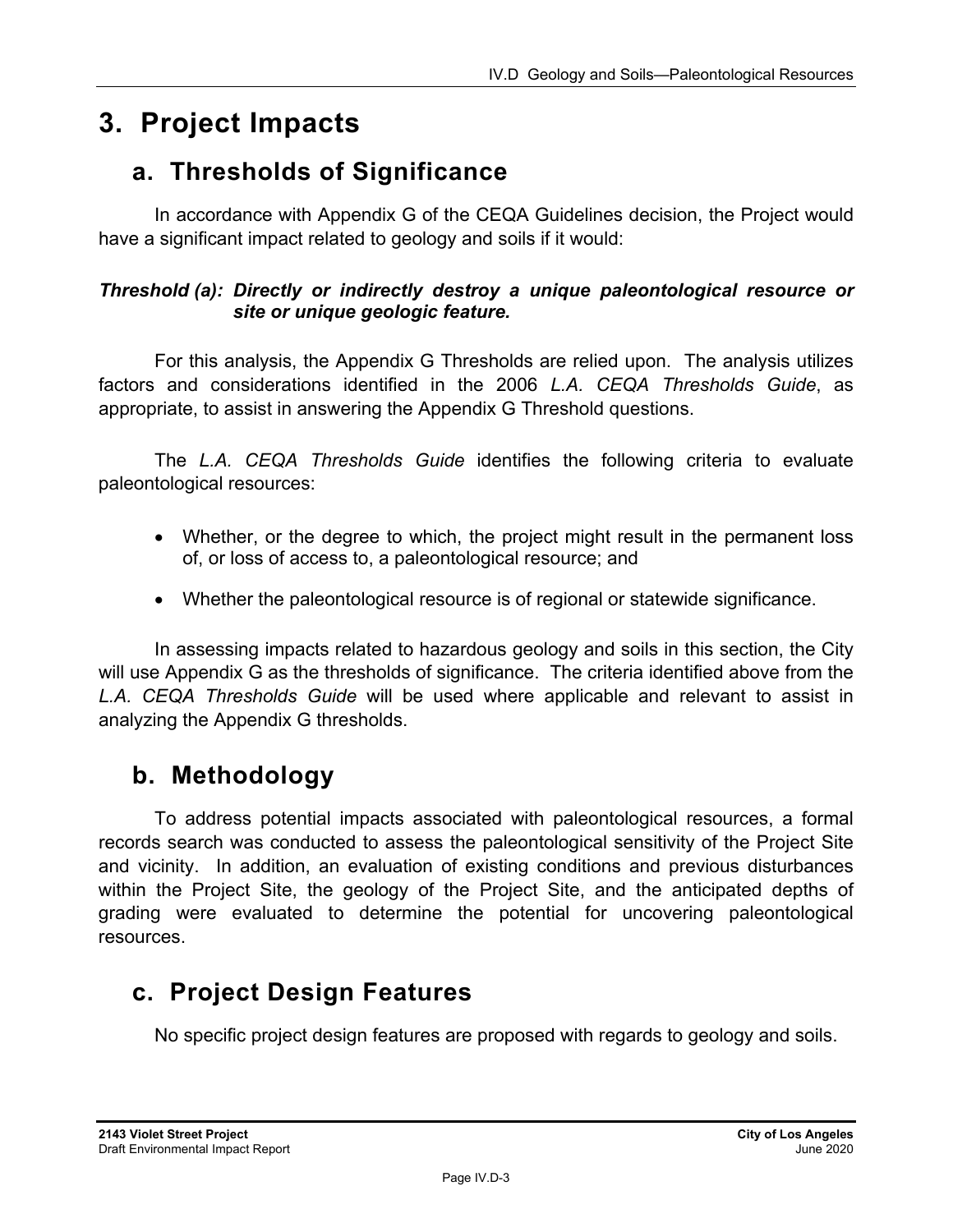## **3. Project Impacts**

### **a. Thresholds of Significance**

In accordance with Appendix G of the CEQA Guidelines decision, the Project would have a significant impact related to geology and soils if it would:

#### *Threshold (a): Directly or indirectly destroy a unique paleontological resource or site or unique geologic feature.*

For this analysis, the Appendix G Thresholds are relied upon. The analysis utilizes factors and considerations identified in the 2006 *L.A. CEQA Thresholds Guide*, as appropriate, to assist in answering the Appendix G Threshold questions.

The *L.A. CEQA Thresholds Guide* identifies the following criteria to evaluate paleontological resources:

- Whether, or the degree to which, the project might result in the permanent loss of, or loss of access to, a paleontological resource; and
- Whether the paleontological resource is of regional or statewide significance.

In assessing impacts related to hazardous geology and soils in this section, the City will use Appendix G as the thresholds of significance. The criteria identified above from the *L.A. CEQA Thresholds Guide* will be used where applicable and relevant to assist in analyzing the Appendix G thresholds.

### **b. Methodology**

To address potential impacts associated with paleontological resources, a formal records search was conducted to assess the paleontological sensitivity of the Project Site and vicinity. In addition, an evaluation of existing conditions and previous disturbances within the Project Site, the geology of the Project Site, and the anticipated depths of grading were evaluated to determine the potential for uncovering paleontological resources.

### **c. Project Design Features**

No specific project design features are proposed with regards to geology and soils.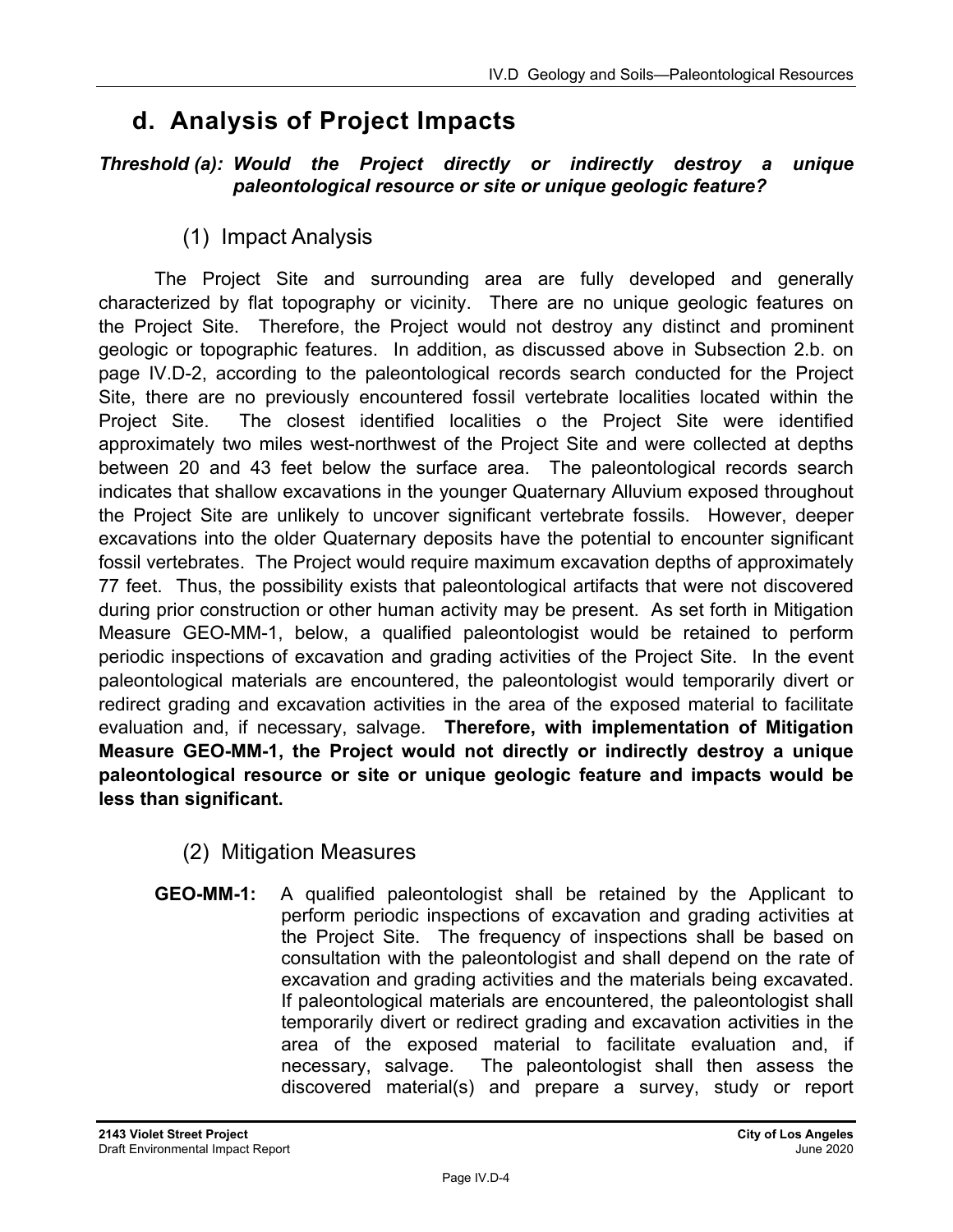### **d. Analysis of Project Impacts**

#### *Threshold (a): Would the Project directly or indirectly destroy a unique paleontological resource or site or unique geologic feature?*

(1) Impact Analysis

The Project Site and surrounding area are fully developed and generally characterized by flat topography or vicinity. There are no unique geologic features on the Project Site. Therefore, the Project would not destroy any distinct and prominent geologic or topographic features. In addition, as discussed above in Subsection 2.b. on page IV.D-2, according to the paleontological records search conducted for the Project Site, there are no previously encountered fossil vertebrate localities located within the Project Site. The closest identified localities o the Project Site were identified approximately two miles west-northwest of the Project Site and were collected at depths between 20 and 43 feet below the surface area. The paleontological records search indicates that shallow excavations in the younger Quaternary Alluvium exposed throughout the Project Site are unlikely to uncover significant vertebrate fossils. However, deeper excavations into the older Quaternary deposits have the potential to encounter significant fossil vertebrates. The Project would require maximum excavation depths of approximately 77 feet. Thus, the possibility exists that paleontological artifacts that were not discovered during prior construction or other human activity may be present. As set forth in Mitigation Measure GEO-MM-1, below, a qualified paleontologist would be retained to perform periodic inspections of excavation and grading activities of the Project Site. In the event paleontological materials are encountered, the paleontologist would temporarily divert or redirect grading and excavation activities in the area of the exposed material to facilitate evaluation and, if necessary, salvage. **Therefore, with implementation of Mitigation Measure GEO-MM-1, the Project would not directly or indirectly destroy a unique paleontological resource or site or unique geologic feature and impacts would be less than significant.** 

- (2) Mitigation Measures
- **GEO-MM-1:** A qualified paleontologist shall be retained by the Applicant to perform periodic inspections of excavation and grading activities at the Project Site. The frequency of inspections shall be based on consultation with the paleontologist and shall depend on the rate of excavation and grading activities and the materials being excavated. If paleontological materials are encountered, the paleontologist shall temporarily divert or redirect grading and excavation activities in the area of the exposed material to facilitate evaluation and, if necessary, salvage. The paleontologist shall then assess the discovered material(s) and prepare a survey, study or report